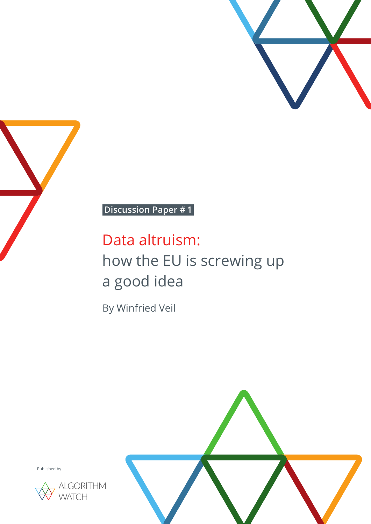



# **Discussion Paper # 1**

# Data altruism: how the EU is screwing up a good idea

By Winfried Veil



Published by

![](_page_0_Picture_7.jpeg)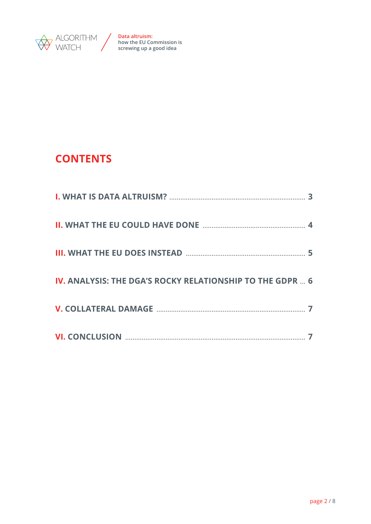![](_page_1_Picture_0.jpeg)

# **CONTENTS**

| <b>IV. ANALYSIS: THE DGA'S ROCKY RELATIONSHIP TO THE GDPR  6</b> |  |
|------------------------------------------------------------------|--|
|                                                                  |  |
|                                                                  |  |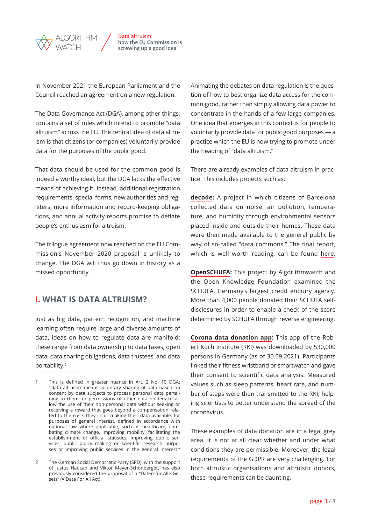<span id="page-2-0"></span>![](_page_2_Picture_0.jpeg)

In November 2021 the European Parliament and the Council reached an agreement on a new regulation.

The Data Governance Act (DGA), among other things, contains a set of rules which intend to promote "data altruism" across the EU. The central idea of data altruism is that citizens (or companies) voluntarily provide data for the purposes of the public good.<sup>1</sup>

That data should be used for the common good is indeed a worthy ideal, but the DGA lacks the effective means of achieving it. Instead, additional registration requirements, special forms, new authorities and registers, more information and record-keeping obligations, and annual activity reports promise to deflate people's enthusiasm for altruism.

The trilogue agreement now reached on the EU Commission's November 2020 proposal is unlikely to change. The DGA will thus go down in history as a missed opportunity.

## **I. WHAT IS DATA ALTRUISM?**

Just as big data, pattern recognition, and machine learning often require large and diverse amounts of data, ideas on how to regulate data are manifold: these range from data ownership to data taxes, open data, data sharing obligations, data trustees, and data portability.2

Animating the debates on data regulation is the question of how to best organize data access for the common good, rather than simply allowing data power to concentrate in the hands of a few large companies. One idea that emerges in this context is for people to voluntarily provide data for public good purposes — a practice which the EU is now trying to promote under the heading of "data altruism."

There are already examples of data altruism in practice. This includes projects such as:

**[decode](https://decodeproject.eu/):** A project in which citizens of Barcelona collected data on noise, air pollution, temperature, and humidity through environmental sensors placed inside and outside their homes. These data were then made available to the general public by way of so-called "data commons." The final report, which is well worth reading, can be found [here](https://decodeproject.eu/publications/final-report-barcelona-pilots-evaluations-barcelonanow-and-sustainability-plans.html).

**[OpenSCHUFA:](https://openschufa.de/english/)** This project by Algorithmwatch and the Open Knowledge Foundation examined the SCHUFA, Germany's largest credit enquiry agency. More than 4,000 people donated their SCHUFA selfdisclosures in order to enable a check of the score determined by SCHUFA through reverse engineering.

**[Corona data donation app](https://corona-datenspende.de/science/en/):** This app of the Robert Koch Institute (RKI) was downloaded by 530,000 persons in Germany (as of 30.09.2021). Participants linked their fitness wristband or smartwatch and gave their consent to scientific data analysis. Measured values such as sleep patterns, heart rate, and number of steps were then transmitted to the RKI, helping scientists to better understand the spread of the coronavirus.

These examples of data donation are in a legal grey area. It is not at all clear whether and under what conditions they are permissible. Moreover, the legal requirements of the GDPR are very challenging. For both altruistic organisations and altruistic donors, these requirements can be daunting.

<sup>1</sup> This is defined in greater nuance in Art. 2 No. 10 DGA: "'data altruism' means voluntary sharing of data based on consent by data subjects to process personal data pertaining to them, or permissions of other data holders to allow the use of their non-personal data without seeking or receiving a reward that goes beyond a compensation related to the costs they incur making their data available, for purposes of general interest, defined in accordance with national law where applicable, such as healthcare, combating climate change, improving mobility, facilitating the establishment of official statistics, improving public services, public policy making or scientific research purposes or improving public services in the general interest."

<sup>2</sup> The German Social Democratic Party (SPD), with the support of Justus Haucap and Viktor Mayer-Schönberger, has also previously considered the proposal of a "Daten-für-Alle-Gesetz" (= Data For All Act).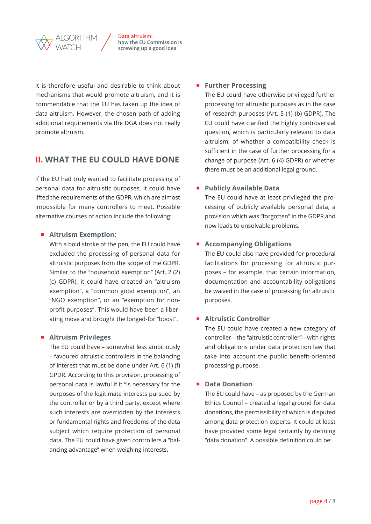<span id="page-3-0"></span>![](_page_3_Picture_0.jpeg)

It is therefore useful and desirable to think about mechanisms that would promote altruism, and it is commendable that the EU has taken up the idea of data altruism. However, the chosen path of adding additional requirements via the DGA does not really promote altruism.

# **II. WHAT THE EU COULD HAVE DONE**

If the EU had truly wanted to facilitate processing of personal data for altruistic purposes, it could have lifted the requirements of the GDPR, which are almost impossible for many controllers to meet. Possible alternative courses of action include the following:

#### **• Altruism Exemption:**

With a bold stroke of the pen, the EU could have excluded the processing of personal data for altruistic purposes from the scope of the GDPR. Similar to the "household exemption" (Art. 2 (2) (c) GDPR), it could have created an "altruism exemption", a "common good exemption", an "NGO exemption", or an "exemption for nonprofit purposes". This would have been a liberating move and brought the longed-for "boost".

#### **• Altruism Privileges**

The EU could have – somewhat less ambitiously – favoured altruistic controllers in the balancing of interest that must be done under Art. 6 (1) (f) GPDR. According to this provision, processing of personal data is lawful if it "is necessary for the purposes of the legitimate interests pursued by the controller or by a third party, except where such interests are overridden by the interests or fundamental rights and freedoms of the data subject which require protection of personal data. The EU could have given controllers a "balancing advantage" when weighing interests.

#### **• Further Processing**

The EU could have otherwise privileged further processing for altruistic purposes as in the case of research purposes (Art. 5 (1) (b) GDPR). The EU could have clarified the highly controversial question, which is particularly relevant to data altruism, of whether a compatibility check is sufficient in the case of further processing for a change of purpose (Art. 6 (4) GDPR) or whether there must be an additional legal ground.

#### **• Publicly Available Data**

The EU could have at least privileged the processing of publicly available personal data, a provision which was "forgotten" in the GDPR and now leads to unsolvable problems.

#### **• Accompanying Obligations**

The EU could also have provided for procedural facilitations for processing for altruistic purposes – for example, that certain information, documentation and accountability obligations be waived in the case of processing for altruistic purposes.

#### **• Altruistic Controller**

The EU could have created a new category of controller – the "altruistic controller" – with rights and obligations under data protection law that take into account the public benefit-oriented processing purpose.

#### **• Data Donation**

The EU could have – as proposed by the German Ethics Council – created a legal ground for data donations, the permissibility of which is disputed among data protection experts. It could at least have provided some legal certainty by defining "data donation". A possible definition could be: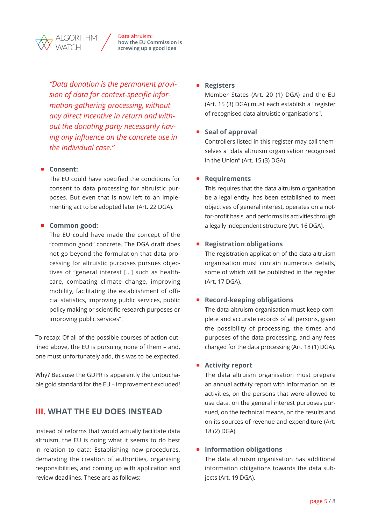*"Data donation is the permanent provision of data for context-specific information-gathering processing, without any direct incentive in return and without the donating party necessarily having any influence on the concrete use in the individual case."*

<span id="page-4-0"></span>GORITHM

#### $\bullet$  Consent:

The EU could have specified the conditions for consent to data processing for altruistic purposes. But even that is now left to an implementing act to be adopted later (Art. 22 DGA).

#### **• Common good:**

The EU could have made the concept of the "common good" concrete. The DGA draft does not go beyond the formulation that data processing for altruistic purposes pursues objectives of "general interest […] such as healthcare, combating climate change, improving mobility, facilitating the establishment of official statistics, improving public services, public policy making or scientific research purposes or improving public services".

To recap: Of all of the possible courses of action outlined above, the EU is pursuing none of them – and, one must unfortunately add, this was to be expected.

Why? Because the GDPR is apparently the untouchable gold standard for the EU – improvement excluded!

## **III. WHAT THE EU DOES INSTEAD**

Instead of reforms that would actually facilitate data altruism, the EU is doing what it seems to do best in relation to data: Establishing new procedures, demanding the creation of authorities, organising responsibilities, and coming up with application and review deadlines. These are as follows:

#### **•** Registers

Member States (Art. 20 (1) DGA) and the EU (Art. 15 (3) DGA) must each establish a "register of recognised data altruistic organisations".

#### **s** Seal of approval

Controllers listed in this register may call themselves a "data altruism organisation recognised in the Union" (Art. 15 (3) DGA).

#### **•** Requirements

This requires that the data altruism organisation be a legal entity, has been established to meet objectives of general interest, operates on a notfor-profit basis, and performs its activities through a legally independent structure (Art. 16 DGA).

#### **•** Registration obligations

The registration application of the data altruism organisation must contain numerous details, some of which will be published in the register (Art. 17 DGA).

#### **• Record-keeping obligations**

The data altruism organisation must keep complete and accurate records of all persons, given the possibility of processing, the times and purposes of the data processing, and any fees charged for the data processing (Art. 18 (1) DGA).

#### **• Activity report**

The data altruism organisation must prepare an annual activity report with information on its activities, on the persons that were allowed to use data, on the general interest purposes pursued, on the technical means, on the results and on its sources of revenue and expenditure (Art. 18 (2) DGA).

#### $\bullet$  Information obligations

The data altruism organisation has additional information obligations towards the data subjects (Art. 19 DGA).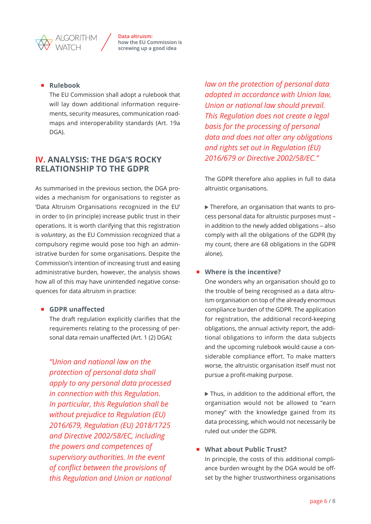#### **•** Rulebook

<span id="page-5-0"></span>GORITHM

The EU Commission shall adopt a rulebook that will lay down additional information requirements, security measures, communication roadmaps and interoperability standards (Art. 19a DGA).

## **IV. ANALYSIS: THE DGA'S ROCKY RELATIONSHIP TO THE GDPR**

As summarised in the previous section, the DGA provides a mechanism for organisations to register as 'Data Altruism Organisations recognized in the EU' in order to (in principle) increase public trust in their operations. It is worth clarifying that this registration is *voluntary*, as the EU Commission recognized that a compulsory regime would pose too high an administrative burden for some organisations. Despite the Commission's intention of increasing trust and easing administrative burden, however, the analysis shows how all of this may have unintended negative consequences for data altruism in practice:

#### **GDPR** unaffected

The draft regulation explicitly clarifies that the requirements relating to the processing of personal data remain unaffected (Art. 1 (2) DGA):

 *"Union and national law on the protection of personal data shall apply to any personal data processed in connection with this Regulation. In particular, this Regulation shall be without prejudice to Regulation (EU) 2016/679, Regulation (EU) 2018/1725 and Directive 2002/58/EC, including the powers and competences of supervisory authorities. In the event of conflict between the provisions of this Regulation and Union or national*  *law on the protection of personal data adopted in accordance with Union law, Union or national law should prevail. This Regulation does not create a legal basis for the processing of personal data and does not alter any obligations and rights set out in Regulation (EU) 2016/679 or Directive 2002/58/EC."*

The GDPR therefore also applies in full to data altruistic organisations.

 Therefore, an organisation that wants to process personal data for altruistic purposes must – in addition to the newly added obligations – also comply with all the obligations of the GDPR (by my count, there are 68 obligations in the GDPR alone).

#### $\bullet$  Where is the incentive?

One wonders why an organisation should go to the trouble of being recognised as a data altruism organisation on top of the already enormous compliance burden of the GDPR. The application for registration, the additional record-keeping obligations, the annual activity report, the additional obligations to inform the data subjects and the upcoming rulebook would cause a considerable compliance effort. To make matters worse, the altruistic organisation itself must not pursue a profit-making purpose.

▶ Thus, in addition to the additional effort, the organisation would not be allowed to "earn money" with the knowledge gained from its data processing, which would not necessarily be ruled out under the GDPR.

#### **What about Public Trust?**

In principle, the costs of this additional compliance burden wrought by the DGA would be offset by the higher trustworthiness organisations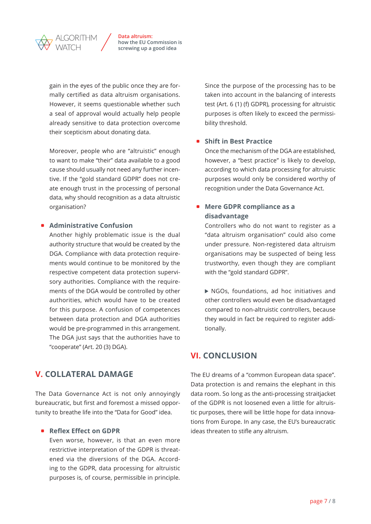<span id="page-6-0"></span>![](_page_6_Picture_0.jpeg)

gain in the eyes of the public once they are formally certified as data altruism organisations. However, it seems questionable whether such a seal of approval would actually help people already sensitive to data protection overcome their scepticism about donating data.

Moreover, people who are "altruistic" enough to want to make "their" data available to a good cause should usually not need any further incentive. If the "gold standard GDPR" does not create enough trust in the processing of personal data, why should recognition as a data altruistic organisation?

#### **• Administrative Confusion**

Another highly problematic issue is the dual authority structure that would be created by the DGA. Compliance with data protection requirements would continue to be monitored by the respective competent data protection supervisory authorities. Compliance with the requirements of the DGA would be controlled by other authorities, which would have to be created for this purpose. A confusion of competences between data protection and DGA authorities would be pre-programmed in this arrangement. The DGA just says that the authorities have to "cooperate" (Art. 20 (3) DGA).

# **V. COLLATERAL DAMAGE**

The Data Governance Act is not only annoyingly bureaucratic, but first and foremost a missed opportunity to breathe life into the "Data for Good" idea.

#### **• Reflex Effect on GDPR**

Even worse, however, is that an even more restrictive interpretation of the GDPR is threatened via the diversions of the DGA. According to the GDPR, data processing for altruistic purposes is, of course, permissible in principle.

Since the purpose of the processing has to be taken into account in the balancing of interests test (Art. 6 (1) (f) GDPR), processing for altruistic purposes is often likely to exceed the permissibility threshold.

#### **• Shift in Best Practice**

Once the mechanism of the DGA are established, however, a "best practice" is likely to develop, according to which data processing for altruistic purposes would only be considered worthy of recognition under the Data Governance Act.

#### **• Mere GDPR compliance as a disadvantage**

Controllers who do not want to register as a "data altruism organisation" could also come under pressure. Non-registered data altruism organisations may be suspected of being less trustworthy, even though they are compliant with the "gold standard GDPR".

 NGOs, foundations, ad hoc initiatives and other controllers would even be disadvantaged compared to non-altruistic controllers, because they would in fact be required to register additionally.

# **VI. CONCLUSION**

The EU dreams of a "common European data space". Data protection is and remains the elephant in this data room. So long as the anti-processing straitjacket of the GDPR is not loosened even a little for altruistic purposes, there will be little hope for data innovations from Europe. In any case, the EU's bureaucratic ideas threaten to stifle any altruism.